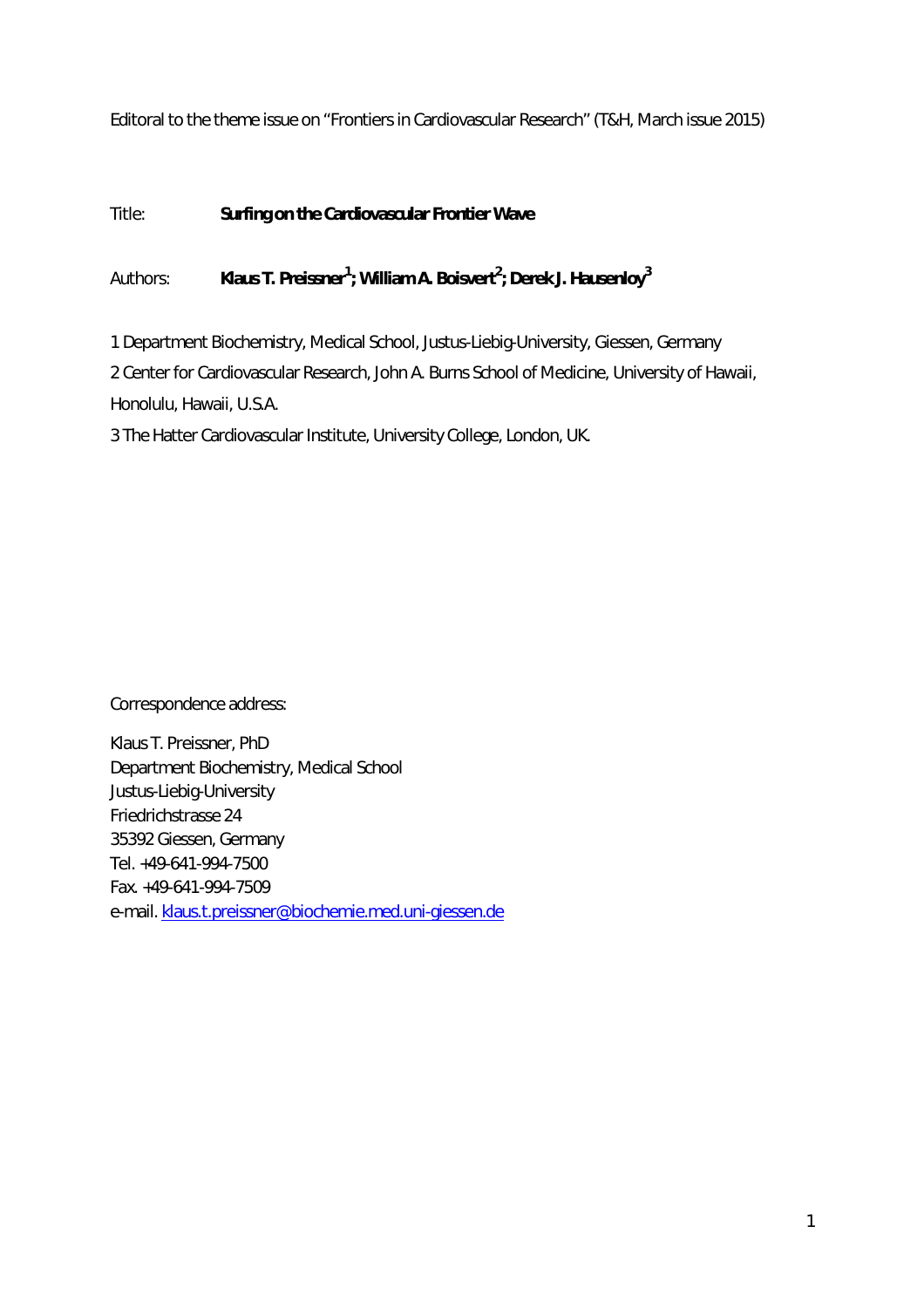Editoral to the theme issue on "Frontiers in Cardiovascular Research" (T&H, March issue 2015)

Title: **Surfing on the Cardiovascular Frontier Wave**

Authors: **Klaus T. Preissner<sup>1</sup> ; William A. Boisvert<sup>2</sup> ; Derek J. Hausenloy<sup>3</sup>**

1 Department Biochemistry, Medical School, Justus-Liebig-University, Giessen, Germany 2 Center for Cardiovascular Research, John A. Burns School of Medicine, University of Hawaii, Honolulu, Hawaii, U.S.A.

3 The Hatter Cardiovascular Institute, University College, London, UK.

Correspondence address:

Klaus T. Preissner, PhD Department Biochemistry, Medical School Justus-Liebig-University Friedrichstrasse 24 35392 Giessen, Germany Tel. +49-641-994-7500 Fax. +49-641-994-7509 e-mail. klaus.t.preissner@biochemie.med.uni-giessen.de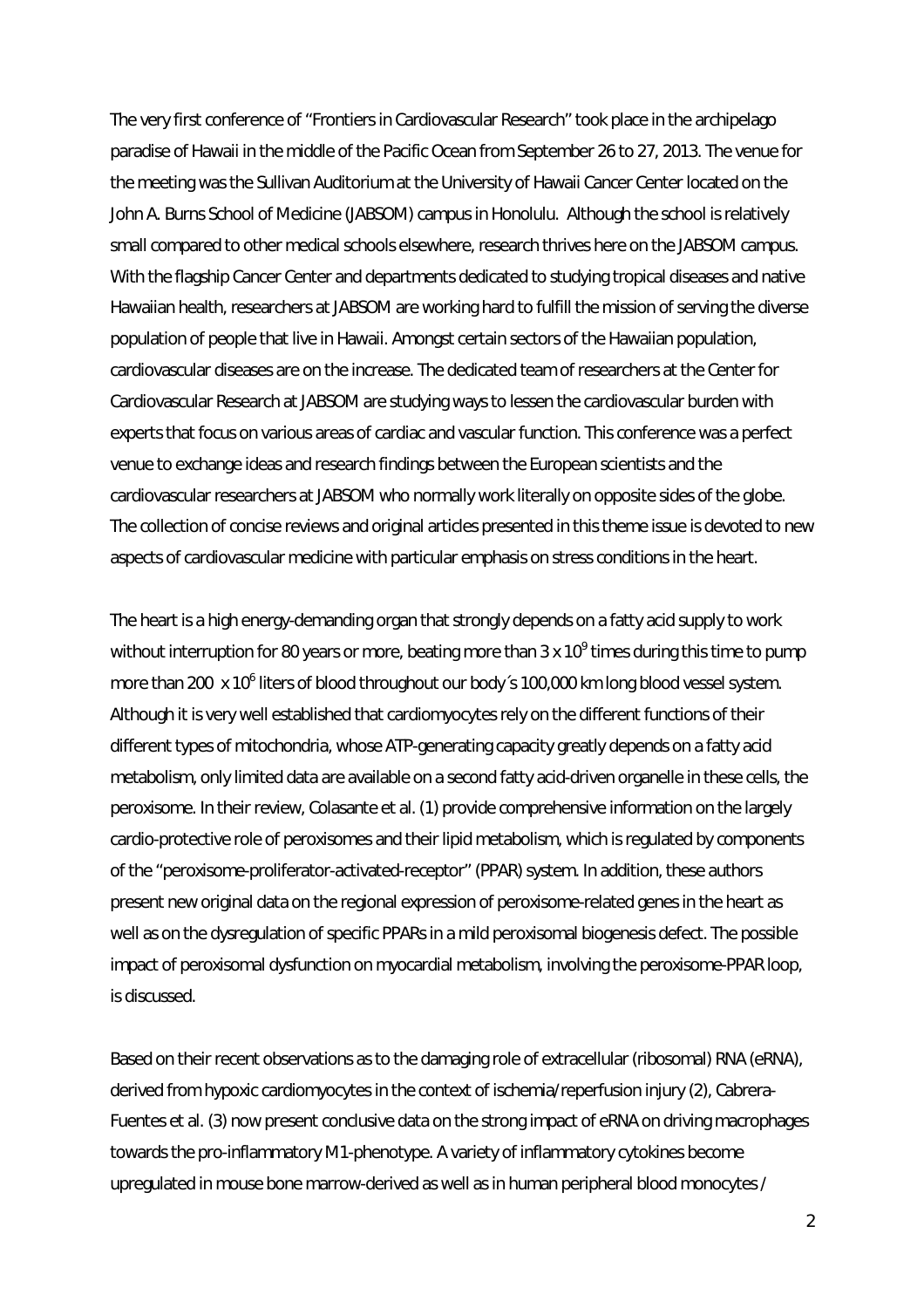The very first conference of "Frontiers in Cardiovascular Research" took place in the archipelago paradise of Hawaii in the middle of the Pacific Ocean from September 26 to 27, 2013. The venue for the meeting was the Sullivan Auditorium at the University of Hawaii Cancer Center located on the John A. Burns School of Medicine (JABSOM) campus in Honolulu. Although the school is relatively small compared to other medical schools elsewhere, research thrives here on the JABSOM campus. With the flagship Cancer Center and departments dedicated to studying tropical diseases and native Hawaiian health, researchers at JABSOM are working hard to fulfill the mission of serving the diverse population of people that live in Hawaii. Amongst certain sectors of the Hawaiian population, cardiovascular diseases are on the increase. The dedicated team of researchers at the Center for Cardiovascular Research at JABSOM are studying ways to lessen the cardiovascular burden with experts that focus on various areas of cardiac and vascular function. This conference was a perfect venue to exchange ideas and research findings between the European scientists and the cardiovascular researchers at JABSOM who normally work literally on opposite sides of the globe. The collection of concise reviews and original articles presented in this theme issue is devoted to new aspects of cardiovascular medicine with particular emphasis on stress conditions in the heart.

The heart is a high energy-demanding organ that strongly depends on a fatty acid supply to work without interruption for 80 years or more, beating more than 3 x 10 $^{\circ}$  times during this time to pump more than 200 x 10<sup>6</sup> liters of blood throughout our body's 100,000 km long blood vessel system. Although it is very well established that cardiomyocytes rely on the different functions of their different types of mitochondria, whose ATP-generating capacity greatly depends on a fatty acid metabolism, only limited data are available on a second fatty acid-driven organelle in these cells, the peroxisome. In their review, Colasante et al. (1) provide comprehensive information on the largely cardio-protective role of peroxisomes and their lipid metabolism, which is regulated by components of the "peroxisome-proliferator-activated-receptor" (PPAR) system. In addition, these authors present new original data on the regional expression of peroxisome-related genes in the heart as well as on the dysregulation of specific PPARs in a mild peroxisomal biogenesis defect. The possible impact of peroxisomal dysfunction on myocardial metabolism, involving the peroxisome-PPAR loop, is discussed.

Based on their recent observations as to the damaging role of extracellular (ribosomal) RNA (eRNA), derived from hypoxic cardiomyocytes in the context of ischemia/reperfusion injury (2), Cabrera-Fuentes et al. (3) now present conclusive data on the strong impact of eRNA on driving macrophages towards the pro-inflammatory M1-phenotype. A variety of inflammatory cytokines become upregulated in mouse bone marrow-derived as well as in human peripheral blood monocytes /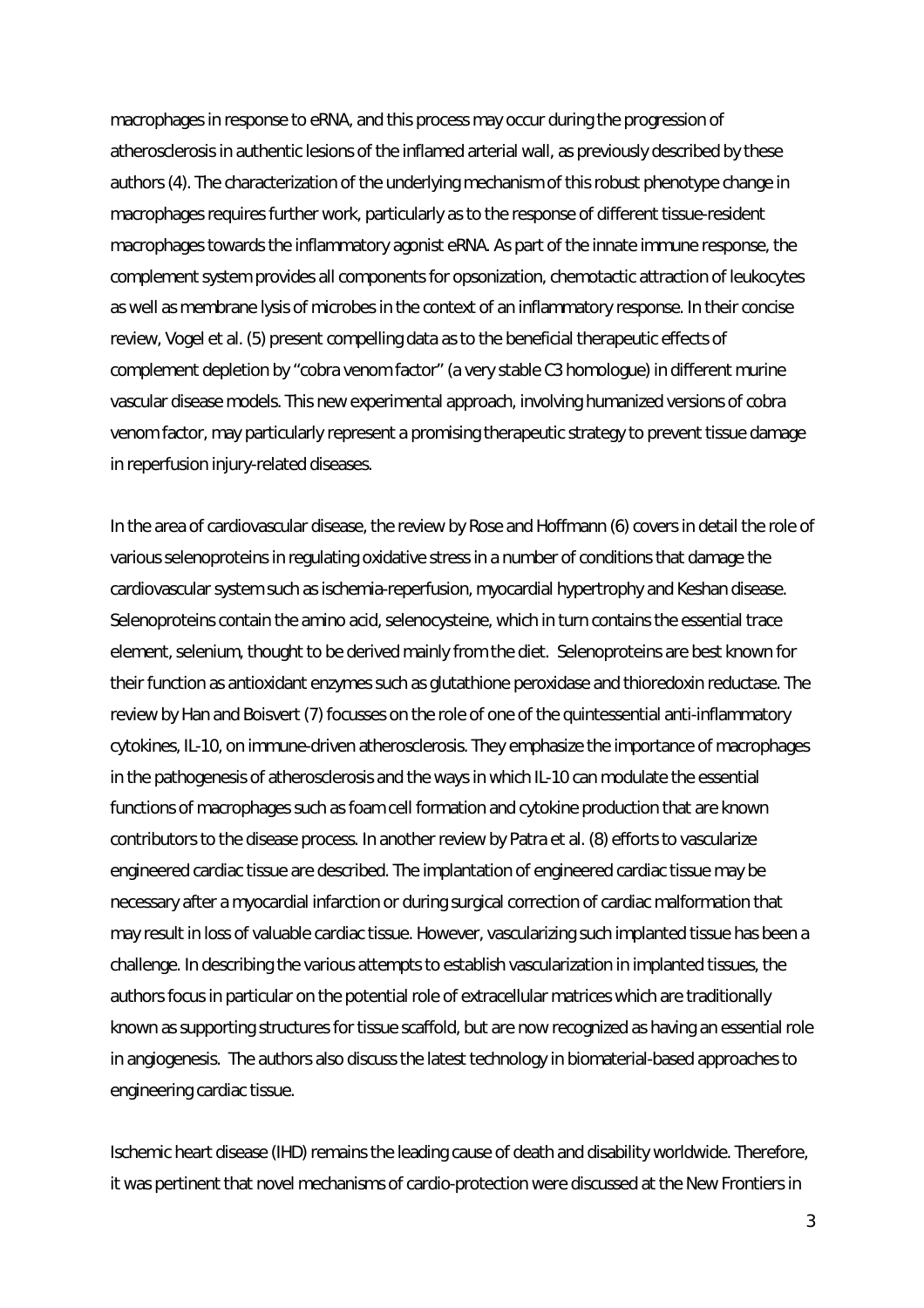macrophages in response to eRNA, and this process may occur during the progression of atherosclerosis in authentic lesions of the inflamed arterial wall, as previously described by these authors (4). The characterization of the underlying mechanism of this robust phenotype change in macrophages requires further work, particularly as to the response of different tissue-resident macrophages towards the inflammatory agonist eRNA. As part of the innate immune response, the complement system provides all components for opsonization, chemotactic attraction of leukocytes as well as membrane lysis of microbes in the context of an inflammatory response. In their concise review, Vogel et al. (5) present compelling data as to the beneficial therapeutic effects of complement depletion by "cobra venom factor" (a very stable C3 homologue) in different murine vascular disease models. This new experimental approach, involving humanized versions of cobra venom factor, may particularly represent a promising therapeutic strategy to prevent tissue damage in reperfusion injury-related diseases.

In the area of cardiovascular disease, the review by Rose and Hoffmann (6) covers in detail the role of various selenoproteins in regulating oxidative stress in a number of conditions that damage the cardiovascular system such as ischemia-reperfusion, myocardial hypertrophy and Keshan disease. Selenoproteins contain the amino acid, selenocysteine, which in turn contains the essential trace element, selenium, thought to be derived mainly from the diet. Selenoproteins are best known for their function as antioxidant enzymes such as glutathione peroxidase and thioredoxin reductase. The review by Han and Boisvert (7) focusses on the role of one of the quintessential anti-inflammatory cytokines, IL-10, on immune-driven atherosclerosis. They emphasize the importance of macrophages in the pathogenesis of atherosclerosis and the ways in which IL-10 can modulate the essential functions of macrophages such as foam cell formation and cytokine production that are known contributors to the disease process. In another review by Patra et al. (8) efforts to vascularize engineered cardiac tissue are described. The implantation of engineered cardiac tissue may be necessary after a myocardial infarction or during surgical correction of cardiac malformation that may result in loss of valuable cardiac tissue. However, vascularizing such implanted tissue has been a challenge. In describing the various attempts to establish vascularization in implanted tissues, the authors focus in particular on the potential role of extracellular matrices which are traditionally known as supporting structures for tissue scaffold, but are now recognized as having an essential role in angiogenesis. The authors also discuss the latest technology in biomaterial-based approaches to engineering cardiac tissue.

Ischemic heart disease (IHD) remains the leading cause of death and disability worldwide. Therefore, it was pertinent that novel mechanisms of cardio-protection were discussed at the New Frontiers in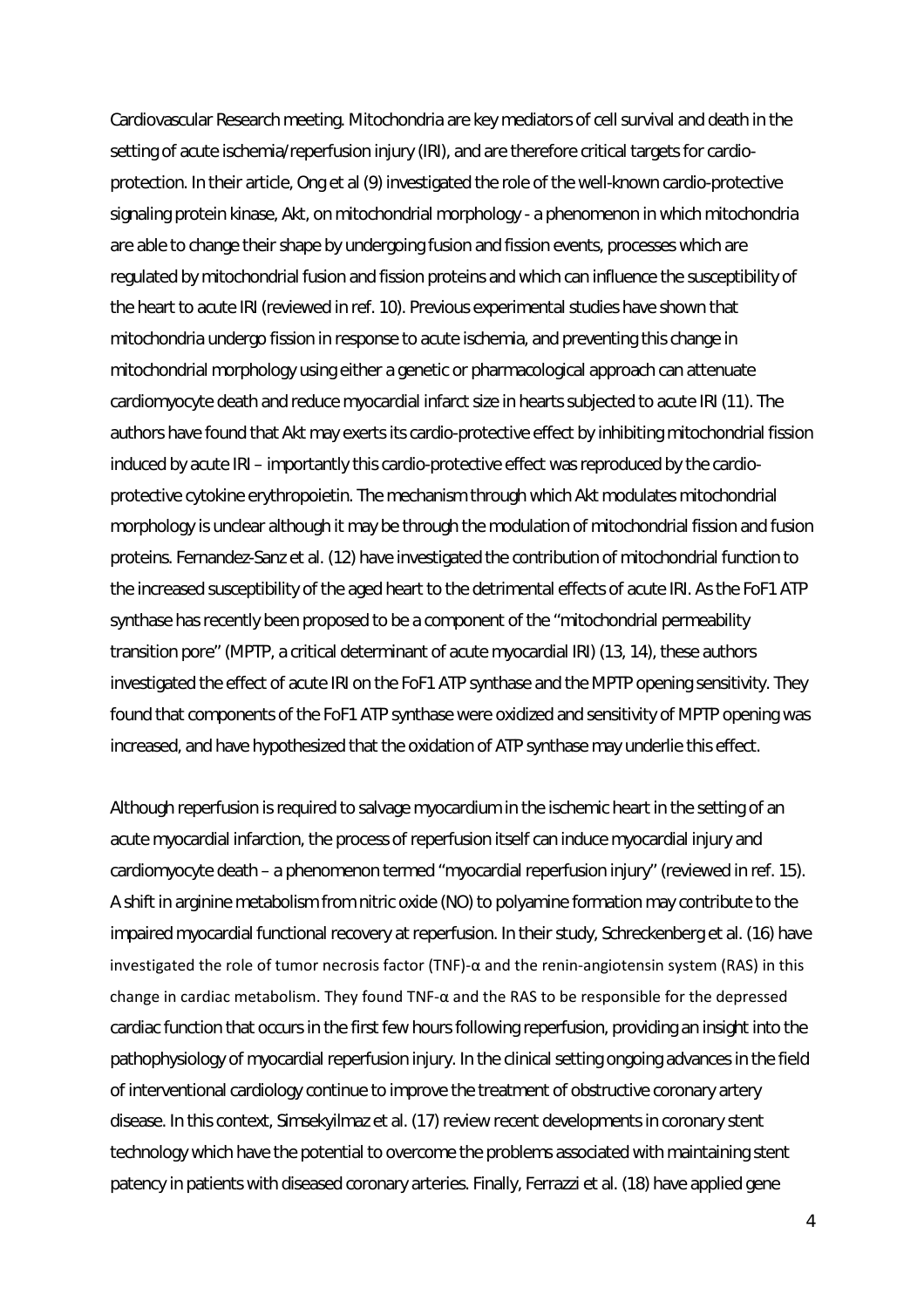Cardiovascular Research meeting. Mitochondria are key mediators of cell survival and death in the setting of acute ischemia/reperfusion injury (IRI), and are therefore critical targets for cardioprotection. In their article, Ong et al (9) investigated the role of the well-known cardio-protective signaling protein kinase, Akt, on mitochondrial morphology - a phenomenon in which mitochondria are able to change their shape by undergoing fusion and fission events, processes which are regulated by mitochondrial fusion and fission proteins and which can influence the susceptibility of the heart to acute IRI (reviewed in ref. 10). Previous experimental studies have shown that mitochondria undergo fission in response to acute ischemia, and preventing this change in mitochondrial morphology using either a genetic or pharmacological approach can attenuate cardiomyocyte death and reduce myocardial infarct size in hearts subjected to acute IRI (11). The authors have found that Akt may exerts its cardio-protective effect by inhibiting mitochondrial fission induced by acute IRI – importantly this cardio-protective effect was reproduced by the cardioprotective cytokine erythropoietin. The mechanism through which Akt modulates mitochondrial morphology is unclear although it may be through the modulation of mitochondrial fission and fusion proteins. Fernandez-Sanz et al. (12) have investigated the contribution of mitochondrial function to the increased susceptibility of the aged heart to the detrimental effects of acute IRI. As the FoF1 ATP synthase has recently been proposed to be a component of the "mitochondrial permeability transition pore" (MPTP, a critical determinant of acute myocardial IRI) (13, 14), these authors investigated the effect of acute IRI on the FoF1 ATP synthase and the MPTP opening sensitivity. They found that components of the FoF1 ATP synthase were oxidized and sensitivity of MPTP opening was increased, and have hypothesized that the oxidation of ATP synthase may underlie this effect.

Although reperfusion is required to salvage myocardium in the ischemic heart in the setting of an acute myocardial infarction, the process of reperfusion itself can induce myocardial injury and cardiomyocyte death – a phenomenon termed "myocardial reperfusion injury" (reviewed in ref. 15). A shift in arginine metabolism from nitric oxide (NO) to polyamine formation may contribute to the impaired myocardial functional recovery at reperfusion. In their study, Schreckenberg et al. (16) have investigated the role of tumor necrosis factor (TNF)- $\alpha$  and the renin-angiotensin system (RAS) in this change in cardiac metabolism. They found TNF-α and the RAS to be responsible for the depressed cardiac function that occurs in the first few hours following reperfusion, providing an insight into the pathophysiology of myocardial reperfusion injury. In the clinical setting ongoing advances in the field of interventional cardiology continue to improve the treatment of obstructive coronary artery disease. In this context, Simsekyilmaz et al. (17) review recent developments in coronary stent technology which have the potential to overcome the problems associated with maintaining stent patency in patients with diseased coronary arteries. Finally, Ferrazzi et al. (18) have applied gene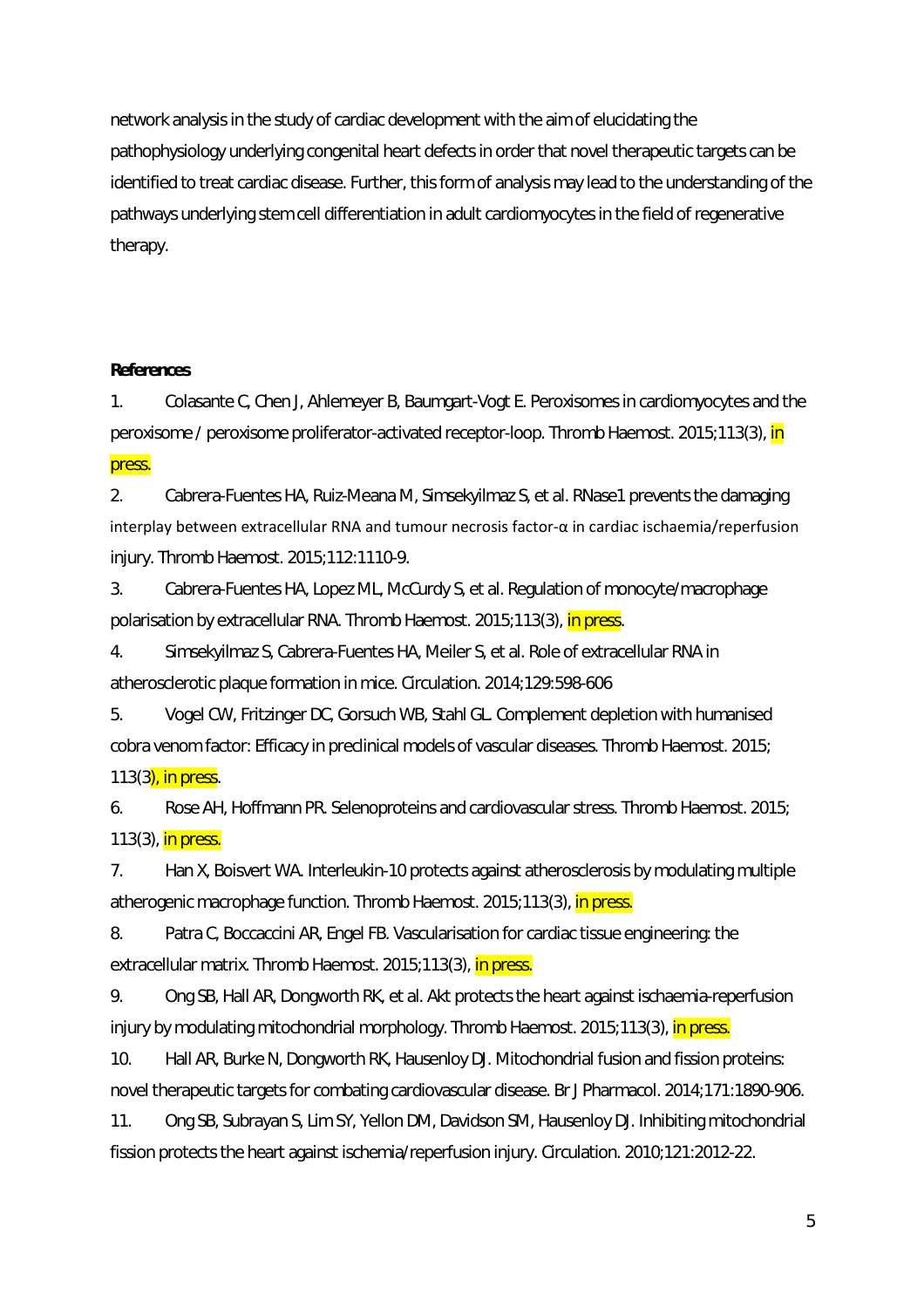network analysis in the study of cardiac development with the aim of elucidating the pathophysiology underlying congenital heart defects in order that novel therapeutic targets can be identified to treat cardiac disease. Further, this form of analysis may lead to the understanding of the pathways underlying stem cell differentiation in adult cardiomyocytes in the field of regenerative therapy.

## **References**

1. Colasante C, Chen J, Ahlemeyer B, Baumgart-Vogt E. Peroxisomes in cardiomyocytes and the peroxisome / peroxisome proliferator-activated receptor-loop. Thromb Haemost. 2015;113(3), in press.

2. Cabrera-Fuentes HA, Ruiz-Meana M, Simsekyilmaz S, et al. RNase1 prevents the damaging interplay between extracellular RNA and tumour necrosis factor- $\alpha$  in cardiac ischaemia/reperfusion injury. Thromb Haemost. 2015;112:1110-9.

3. Cabrera-Fuentes HA, Lopez ML, McCurdy S, et al. Regulation of monocyte/macrophage polarisation by extracellular RNA. Thromb Haemost. 2015;113(3), in press.

4. Simsekyilmaz S, Cabrera-Fuentes HA, Meiler S, et al. Role of extracellular RNA in atherosclerotic plaque formation in mice. Circulation. 2014;129:598-606

5. Vogel CW, Fritzinger DC, Gorsuch WB, Stahl GL. Complement depletion with humanised cobra venom factor: Efficacy in preclinical models of vascular diseases. Thromb Haemost. 2015;

113(3), in press.

6. Rose AH, Hoffmann PR. Selenoproteins and cardiovascular stress. Thromb Haemost. 2015; 113(3), in press.

7. Han X, Boisvert WA. Interleukin-10 protects against atherosclerosis by modulating multiple atherogenic macrophage function. Thromb Haemost. 2015;113(3), in press.

8. Patra C, Boccaccini AR, Engel FB. Vascularisation for cardiac tissue engineering: the extracellular matrix. Thromb Haemost. 2015;113(3), in press.

9. Ong SB, Hall AR, Dongworth RK, et al. Akt protects the heart against ischaemia-reperfusion injury by modulating mitochondrial morphology. Thromb Haemost. 2015;113(3), in press.

10. Hall AR, Burke N, Dongworth RK, Hausenloy DJ. Mitochondrial fusion and fission proteins: novel therapeutic targets for combating cardiovascular disease. Br J Pharmacol. 2014;171:1890-906.

11. Ong SB, Subrayan S, Lim SY, Yellon DM, Davidson SM, Hausenloy DJ. Inhibiting mitochondrial fission protects the heart against ischemia/reperfusion injury. Circulation. 2010;121:2012-22.